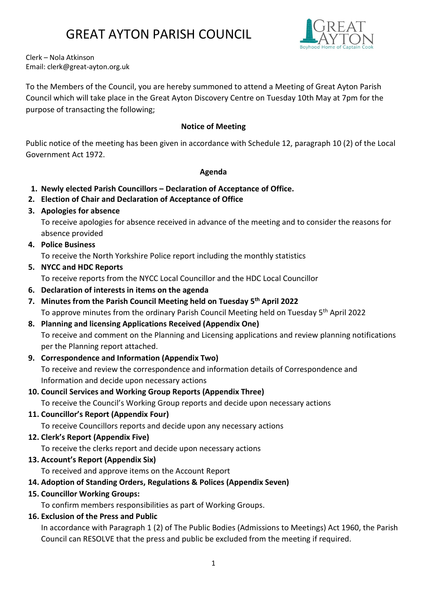

Clerk – Nola Atkinson Email: clerk@great-ayton.org.uk

To the Members of the Council, you are hereby summoned to attend a Meeting of Great Ayton Parish Council which will take place in the Great Ayton Discovery Centre on Tuesday 10th May at 7pm for the purpose of transacting the following;

### Notice of Meeting

Public notice of the meeting has been given in accordance with Schedule 12, paragraph 10 (2) of the Local Government Act 1972.

#### Agenda

- 1. Newly elected Parish Councillors Declaration of Acceptance of Office.
- 2. Election of Chair and Declaration of Acceptance of Office
- 3. Apologies for absence

To receive apologies for absence received in advance of the meeting and to consider the reasons for absence provided

4. Police Business

To receive the North Yorkshire Police report including the monthly statistics

5. NYCC and HDC Reports

To receive reports from the NYCC Local Councillor and the HDC Local Councillor

- 6. Declaration of interests in items on the agenda
- 7. Minutes from the Parish Council Meeting held on Tuesday 5<sup>th</sup> April 2022 To approve minutes from the ordinary Parish Council Meeting held on Tuesday 5<sup>th</sup> April 2022

### 8. Planning and licensing Applications Received (Appendix One)

To receive and comment on the Planning and Licensing applications and review planning notifications per the Planning report attached.

9. Correspondence and Information (Appendix Two)

To receive and review the correspondence and information details of Correspondence and Information and decide upon necessary actions

### 10. Council Services and Working Group Reports (Appendix Three)

To receive the Council's Working Group reports and decide upon necessary actions

11. Councillor's Report (Appendix Four)

To receive Councillors reports and decide upon any necessary actions

### 12. Clerk's Report (Appendix Five)

To receive the clerks report and decide upon necessary actions

13. Account's Report (Appendix Six)

To received and approve items on the Account Report

### 14. Adoption of Standing Orders, Regulations & Polices (Appendix Seven)

### 15. Councillor Working Groups:

To confirm members responsibilities as part of Working Groups.

### 16. Exclusion of the Press and Public

In accordance with Paragraph 1 (2) of The Public Bodies (Admissions to Meetings) Act 1960, the Parish Council can RESOLVE that the press and public be excluded from the meeting if required.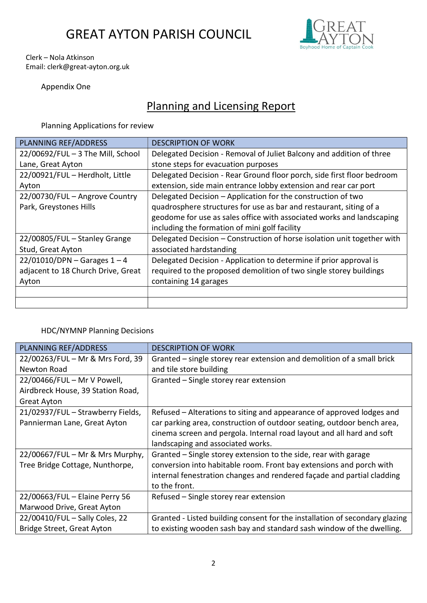

#### Clerk – Nola Atkinson Email: clerk@great-ayton.org.uk

Appendix One

### Planning and Licensing Report

Planning Applications for review

| PLANNING REF/ADDRESS               | <b>DESCRIPTION OF WORK</b>                                              |
|------------------------------------|-------------------------------------------------------------------------|
| 22/00692/FUL - 3 The Mill, School  | Delegated Decision - Removal of Juliet Balcony and addition of three    |
| Lane, Great Ayton                  | stone steps for evacuation purposes                                     |
| 22/00921/FUL - Herdholt, Little    | Delegated Decision - Rear Ground floor porch, side first floor bedroom  |
| Ayton                              | extension, side main entrance lobby extension and rear car port         |
| 22/00730/FUL - Angrove Country     | Delegated Decision - Application for the construction of two            |
| Park, Greystones Hills             | quadrosphere structures for use as bar and restaurant, siting of a      |
|                                    | geodome for use as sales office with associated works and landscaping   |
|                                    | including the formation of mini golf facility                           |
| 22/00805/FUL - Stanley Grange      | Delegated Decision - Construction of horse isolation unit together with |
| Stud, Great Ayton                  | associated hardstanding                                                 |
| $22/01010/DPN -$ Garages 1 - 4     | Delegated Decision - Application to determine if prior approval is      |
| adjacent to 18 Church Drive, Great | required to the proposed demolition of two single storey buildings      |
| Ayton                              | containing 14 garages                                                   |
|                                    |                                                                         |
|                                    |                                                                         |

### HDC/NYMNP Planning Decisions

| PLANNING REF/ADDRESS              | <b>DESCRIPTION OF WORK</b>                                                  |
|-----------------------------------|-----------------------------------------------------------------------------|
| 22/00263/FUL - Mr & Mrs Ford, 39  | Granted – single storey rear extension and demolition of a small brick      |
| Newton Road                       | and tile store building                                                     |
| 22/00466/FUL - Mr V Powell,       | Granted - Single storey rear extension                                      |
| Airdbreck House, 39 Station Road, |                                                                             |
| <b>Great Ayton</b>                |                                                                             |
| 21/02937/FUL - Strawberry Fields, | Refused – Alterations to siting and appearance of approved lodges and       |
| Pannierman Lane, Great Ayton      | car parking area, construction of outdoor seating, outdoor bench area,      |
|                                   | cinema screen and pergola. Internal road layout and all hard and soft       |
|                                   | landscaping and associated works.                                           |
| 22/00667/FUL - Mr & Mrs Murphy,   | Granted – Single storey extension to the side, rear with garage             |
| Tree Bridge Cottage, Nunthorpe,   | conversion into habitable room. Front bay extensions and porch with         |
|                                   | internal fenestration changes and rendered façade and partial cladding      |
|                                   | to the front.                                                               |
| 22/00663/FUL - Elaine Perry 56    | Refused - Single storey rear extension                                      |
| Marwood Drive, Great Ayton        |                                                                             |
| 22/00410/FUL - Sally Coles, 22    | Granted - Listed building consent for the installation of secondary glazing |
| Bridge Street, Great Ayton        | to existing wooden sash bay and standard sash window of the dwelling.       |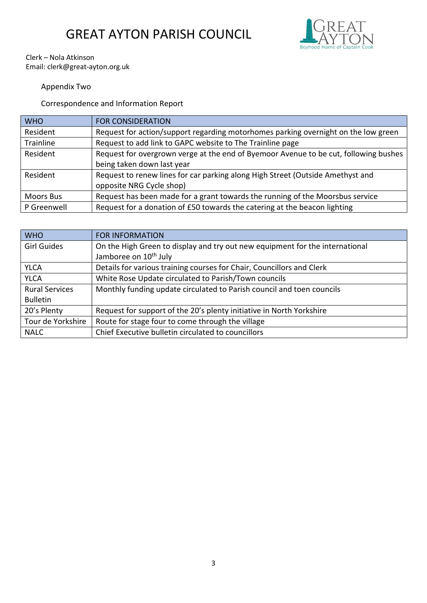

Clerk – Nola Atkinson Email: clerk@great-ayton.org.uk

### Appendix Two

Correspondence and Information Report

| <b>WHO</b>       | <b>FOR CONSIDERATION</b>                                                             |
|------------------|--------------------------------------------------------------------------------------|
| Resident         | Request for action/support regarding motorhomes parking overnight on the low green   |
| Trainline        | Request to add link to GAPC website to The Trainline page                            |
| Resident         | Request for overgrown verge at the end of Byemoor Avenue to be cut, following bushes |
|                  | being taken down last year                                                           |
| Resident         | Request to renew lines for car parking along High Street (Outside Amethyst and       |
|                  | opposite NRG Cycle shop)                                                             |
| <b>Moors Bus</b> | Request has been made for a grant towards the running of the Moorsbus service        |
| P Greenwell      | Request for a donation of £50 towards the catering at the beacon lighting            |

| <b>WHO</b>            | <b>FOR INFORMATION</b>                                                       |
|-----------------------|------------------------------------------------------------------------------|
| <b>Girl Guides</b>    | On the High Green to display and try out new equipment for the international |
|                       | Jamboree on 10 <sup>th</sup> July                                            |
| <b>YLCA</b>           | Details for various training courses for Chair, Councillors and Clerk        |
| <b>YLCA</b>           | White Rose Update circulated to Parish/Town councils                         |
| <b>Rural Services</b> | Monthly funding update circulated to Parish council and toen councils        |
| <b>Bulletin</b>       |                                                                              |
| 20's Plenty           | Request for support of the 20's plenty initiative in North Yorkshire         |
| Tour de Yorkshire     | Route for stage four to come through the village                             |
| <b>NALC</b>           | Chief Executive bulletin circulated to councillors                           |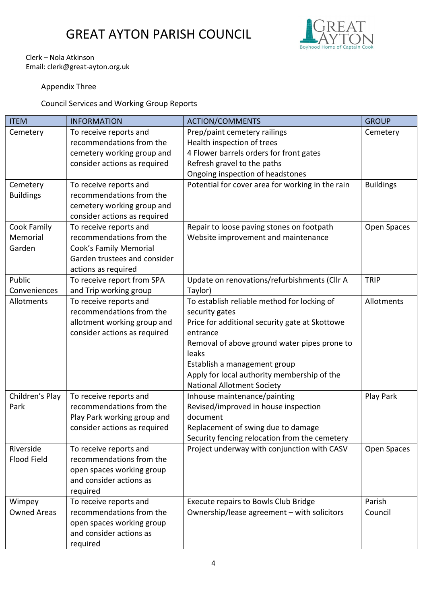

#### Clerk – Nola Atkinson Email: clerk@great-ayton.org.uk

### Appendix Three

Council Services and Working Group Reports

| <b>ITEM</b>        | <b>INFORMATION</b>           | <b>ACTION/COMMENTS</b>                           | <b>GROUP</b>     |
|--------------------|------------------------------|--------------------------------------------------|------------------|
| Cemetery           | To receive reports and       | Prep/paint cemetery railings                     | Cemetery         |
|                    | recommendations from the     | Health inspection of trees                       |                  |
|                    | cemetery working group and   | 4 Flower barrels orders for front gates          |                  |
|                    | consider actions as required | Refresh gravel to the paths                      |                  |
|                    |                              | Ongoing inspection of headstones                 |                  |
| Cemetery           | To receive reports and       | Potential for cover area for working in the rain | <b>Buildings</b> |
| <b>Buildings</b>   | recommendations from the     |                                                  |                  |
|                    | cemetery working group and   |                                                  |                  |
|                    | consider actions as required |                                                  |                  |
| Cook Family        | To receive reports and       | Repair to loose paving stones on footpath        | Open Spaces      |
| Memorial           | recommendations from the     | Website improvement and maintenance              |                  |
| Garden             | Cook's Family Memorial       |                                                  |                  |
|                    | Garden trustees and consider |                                                  |                  |
|                    | actions as required          |                                                  |                  |
| Public             | To receive report from SPA   | Update on renovations/refurbishments (Cllr A     | <b>TRIP</b>      |
| Conveniences       | and Trip working group       | Taylor)                                          |                  |
| Allotments         | To receive reports and       | To establish reliable method for locking of      | Allotments       |
|                    | recommendations from the     | security gates                                   |                  |
|                    | allotment working group and  | Price for additional security gate at Skottowe   |                  |
|                    | consider actions as required | entrance                                         |                  |
|                    |                              | Removal of above ground water pipes prone to     |                  |
|                    |                              | leaks                                            |                  |
|                    |                              | Establish a management group                     |                  |
|                    |                              | Apply for local authority membership of the      |                  |
|                    |                              | <b>National Allotment Society</b>                |                  |
| Children's Play    | To receive reports and       | Inhouse maintenance/painting                     | Play Park        |
| Park               | recommendations from the     | Revised/improved in house inspection             |                  |
|                    | Play Park working group and  | document                                         |                  |
|                    | consider actions as required | Replacement of swing due to damage               |                  |
|                    |                              | Security fencing relocation from the cemetery    |                  |
| Riverside          | To receive reports and       | Project underway with conjunction with CASV      | Open Spaces      |
| <b>Flood Field</b> | recommendations from the     |                                                  |                  |
|                    | open spaces working group    |                                                  |                  |
|                    | and consider actions as      |                                                  |                  |
|                    | required                     |                                                  |                  |
| Wimpey             | To receive reports and       | Execute repairs to Bowls Club Bridge             | Parish           |
| <b>Owned Areas</b> | recommendations from the     | Ownership/lease agreement - with solicitors      | Council          |
|                    | open spaces working group    |                                                  |                  |
|                    | and consider actions as      |                                                  |                  |
|                    | required                     |                                                  |                  |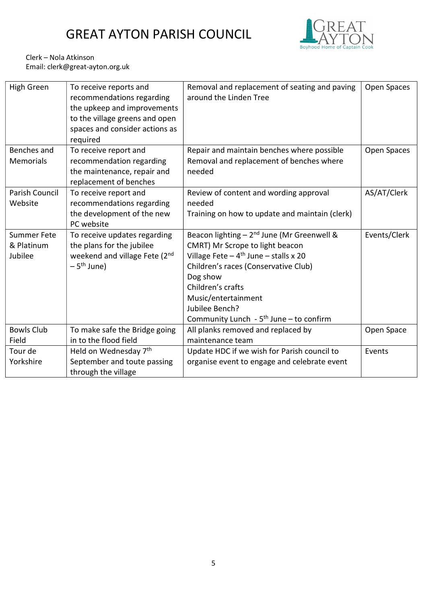

Clerk – Nola Atkinson Email: clerk@great-ayton.org.uk

| High Green         | To receive reports and<br>recommendations regarding<br>the upkeep and improvements<br>to the village greens and open<br>spaces and consider actions as<br>required | Removal and replacement of seating and paving<br>around the Linden Tree | Open Spaces  |
|--------------------|--------------------------------------------------------------------------------------------------------------------------------------------------------------------|-------------------------------------------------------------------------|--------------|
| Benches and        | To receive report and                                                                                                                                              | Repair and maintain benches where possible                              | Open Spaces  |
| <b>Memorials</b>   | recommendation regarding<br>the maintenance, repair and<br>replacement of benches                                                                                  | Removal and replacement of benches where<br>needed                      |              |
| Parish Council     | To receive report and                                                                                                                                              | Review of content and wording approval                                  | AS/AT/Clerk  |
| Website            | recommendations regarding                                                                                                                                          | needed                                                                  |              |
|                    | the development of the new<br>PC website                                                                                                                           | Training on how to update and maintain (clerk)                          |              |
| <b>Summer Fete</b> | To receive updates regarding                                                                                                                                       | Beacon lighting $-2^{nd}$ June (Mr Greenwell &                          | Events/Clerk |
| & Platinum         | the plans for the jubilee                                                                                                                                          | CMRT) Mr Scrope to light beacon                                         |              |
| Jubilee            | weekend and village Fete (2nd                                                                                                                                      | Village Fete $-4$ <sup>th</sup> June $-$ stalls x 20                    |              |
|                    | $-5$ <sup>th</sup> June)                                                                                                                                           | Children's races (Conservative Club)                                    |              |
|                    |                                                                                                                                                                    | Dog show                                                                |              |
|                    |                                                                                                                                                                    | Children's crafts                                                       |              |
|                    |                                                                                                                                                                    | Music/entertainment                                                     |              |
|                    |                                                                                                                                                                    | Jubilee Bench?                                                          |              |
|                    |                                                                                                                                                                    | Community Lunch - 5 <sup>th</sup> June - to confirm                     |              |
| <b>Bowls Club</b>  | To make safe the Bridge going                                                                                                                                      | All planks removed and replaced by                                      | Open Space   |
| Field              | in to the flood field                                                                                                                                              | maintenance team                                                        |              |
| Tour de            | Held on Wednesday 7th                                                                                                                                              | Update HDC if we wish for Parish council to                             | Events       |
| Yorkshire          | September and toute passing                                                                                                                                        | organise event to engage and celebrate event                            |              |
|                    | through the village                                                                                                                                                |                                                                         |              |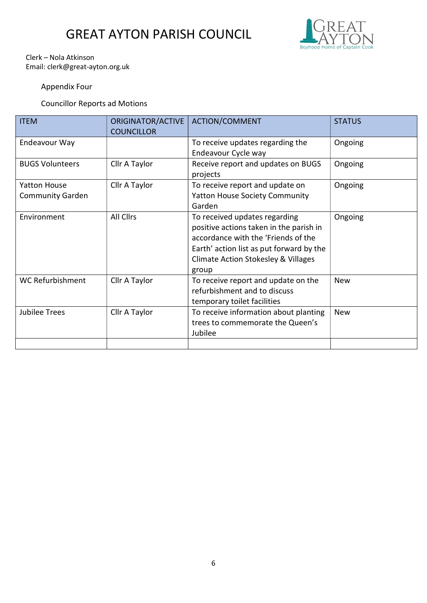

#### Clerk – Nola Atkinson Email: clerk@great-ayton.org.uk

### Appendix Four

### Councillor Reports ad Motions

| <b>ITEM</b>                                    | ORIGINATOR/ACTIVE<br><b>COUNCILLOR</b> | <b>ACTION/COMMENT</b>                                                                                                                                                                                                  | <b>STATUS</b> |
|------------------------------------------------|----------------------------------------|------------------------------------------------------------------------------------------------------------------------------------------------------------------------------------------------------------------------|---------------|
| Endeavour Way                                  |                                        | To receive updates regarding the<br>Endeavour Cycle way                                                                                                                                                                | Ongoing       |
| <b>BUGS Volunteers</b>                         | Cllr A Taylor                          | Receive report and updates on BUGS<br>projects                                                                                                                                                                         | Ongoing       |
| <b>Yatton House</b><br><b>Community Garden</b> | Cllr A Taylor                          | To receive report and update on<br><b>Yatton House Society Community</b><br>Garden                                                                                                                                     | Ongoing       |
| Environment                                    | <b>All Cllrs</b>                       | To received updates regarding<br>positive actions taken in the parish in<br>accordance with the 'Friends of the<br>Earth' action list as put forward by the<br><b>Climate Action Stokesley &amp; Villages</b><br>group | Ongoing       |
| <b>WC Refurbishment</b>                        | Cllr A Taylor                          | To receive report and update on the<br>refurbishment and to discuss<br>temporary toilet facilities                                                                                                                     | <b>New</b>    |
| <b>Jubilee Trees</b>                           | Cllr A Taylor                          | To receive information about planting<br>trees to commemorate the Queen's<br>Jubilee                                                                                                                                   | <b>New</b>    |
|                                                |                                        |                                                                                                                                                                                                                        |               |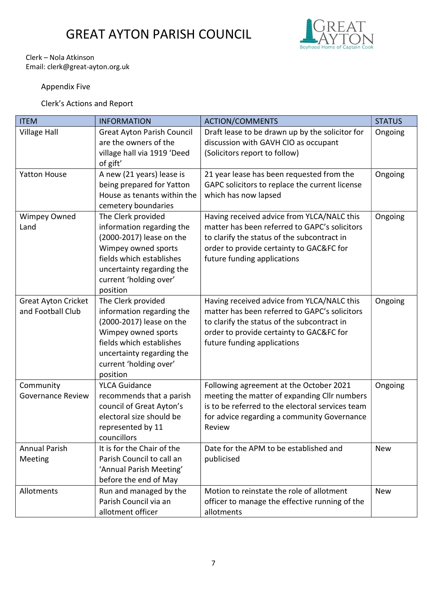

#### Clerk – Nola Atkinson Email: clerk@great-ayton.org.uk

### Appendix Five

Clerk's Actions and Report

| <b>ITEM</b>                                     | <b>INFORMATION</b>                                                                                                                                                                                | <b>ACTION/COMMENTS</b>                                                                                                                                                                                                | <b>STATUS</b> |
|-------------------------------------------------|---------------------------------------------------------------------------------------------------------------------------------------------------------------------------------------------------|-----------------------------------------------------------------------------------------------------------------------------------------------------------------------------------------------------------------------|---------------|
| <b>Village Hall</b>                             | <b>Great Ayton Parish Council</b><br>are the owners of the<br>village hall via 1919 'Deed<br>of gift'                                                                                             | Draft lease to be drawn up by the solicitor for<br>discussion with GAVH CIO as occupant<br>(Solicitors report to follow)                                                                                              | Ongoing       |
| <b>Yatton House</b>                             | A new (21 years) lease is<br>being prepared for Yatton<br>House as tenants within the<br>cemetery boundaries                                                                                      | 21 year lease has been requested from the<br>GAPC solicitors to replace the current license<br>which has now lapsed                                                                                                   | Ongoing       |
| <b>Wimpey Owned</b><br>Land                     | The Clerk provided<br>information regarding the<br>(2000-2017) lease on the<br>Wimpey owned sports<br>fields which establishes<br>uncertainty regarding the<br>current 'holding over'<br>position | Having received advice from YLCA/NALC this<br>matter has been referred to GAPC's solicitors<br>to clarify the status of the subcontract in<br>order to provide certainty to GAC&FC for<br>future funding applications | Ongoing       |
| <b>Great Ayton Cricket</b><br>and Football Club | The Clerk provided<br>information regarding the<br>(2000-2017) lease on the<br>Wimpey owned sports<br>fields which establishes<br>uncertainty regarding the<br>current 'holding over'<br>position | Having received advice from YLCA/NALC this<br>matter has been referred to GAPC's solicitors<br>to clarify the status of the subcontract in<br>order to provide certainty to GAC&FC for<br>future funding applications | Ongoing       |
| Community<br><b>Governance Review</b>           | <b>YLCA Guidance</b><br>recommends that a parish<br>council of Great Ayton's<br>electoral size should be<br>represented by 11<br>councillors                                                      | Following agreement at the October 2021<br>meeting the matter of expanding Cllr numbers<br>is to be referred to the electoral services team<br>for advice regarding a community Governance<br>Review                  | Ongoing       |
| <b>Annual Parish</b><br>Meeting                 | It is for the Chair of the<br>Parish Council to call an<br>'Annual Parish Meeting'<br>before the end of May                                                                                       | Date for the APM to be established and<br>publicised                                                                                                                                                                  | <b>New</b>    |
| Allotments                                      | Run and managed by the<br>Parish Council via an<br>allotment officer                                                                                                                              | Motion to reinstate the role of allotment<br>officer to manage the effective running of the<br>allotments                                                                                                             | <b>New</b>    |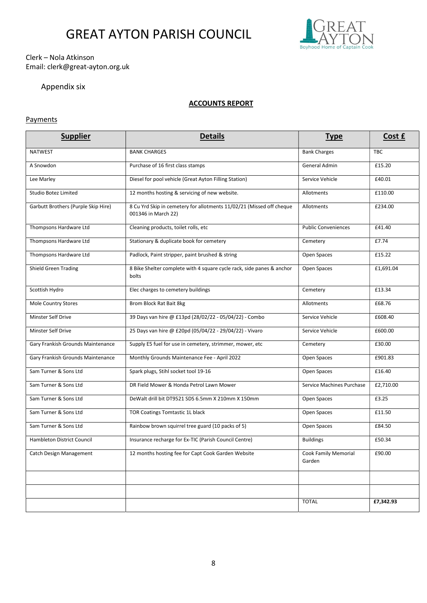

#### Clerk – Nola Atkinson Email: clerk@great-ayton.org.uk

### Appendix six

#### ACCOUNTS REPORT

#### **Payments**

| <b>Supplier</b>                     | <b>Details</b>                                                                              | <b>Type</b>                    | <u>Cost £</u> |
|-------------------------------------|---------------------------------------------------------------------------------------------|--------------------------------|---------------|
| <b>NATWEST</b>                      | <b>BANK CHARGES</b>                                                                         | <b>Bank Charges</b>            | <b>TBC</b>    |
| A Snowdon                           | Purchase of 16 first class stamps                                                           | General Admin                  | £15.20        |
| Lee Marley                          | Diesel for pool vehicle (Great Ayton Filling Station)                                       | Service Vehicle                | £40.01        |
| Studio Botez Limited                | 12 months hosting & servicing of new website.                                               | Allotments                     | £110.00       |
| Garbutt Brothers (Purple Skip Hire) | 8 Cu Yrd Skip in cemetery for allotments 11/02/21 (Missed off cheque<br>001346 in March 22) | Allotments                     | £234.00       |
| Thompsons Hardware Ltd              | Cleaning products, toilet rolls, etc                                                        | <b>Public Conveniences</b>     | £41.40        |
| Thompsons Hardware Ltd              | Stationary & duplicate book for cemetery                                                    | Cemetery                       | £7.74         |
| Thompsons Hardware Ltd              | Padlock, Paint stripper, paint brushed & string                                             | Open Spaces                    | £15.22        |
| Shield Green Trading                | 8 Bike Shelter complete with 4 square cycle rack, side panes & anchor<br>bolts              | Open Spaces                    | £1,691.04     |
| Scottish Hydro                      | Elec charges to cemetery buildings                                                          | Cemetery                       | £13.34        |
| Mole Country Stores                 | Brom Block Rat Bait 8kg                                                                     | Allotments                     | £68.76        |
| <b>Minster Self Drive</b>           | 39 Days van hire @ £13pd (28/02/22 - 05/04/22) - Combo                                      | Service Vehicle                | £608.40       |
| Minster Self Drive                  | 25 Days van hire @ £20pd (05/04/22 - 29/04/22) - Vivaro                                     | Service Vehicle                | £600.00       |
| Gary Frankish Grounds Maintenance   | Supply E5 fuel for use in cemetery, strimmer, mower, etc                                    | Cemetery                       | £30.00        |
| Gary Frankish Grounds Maintenance   | Monthly Grounds Maintenance Fee - April 2022                                                | Open Spaces                    | £901.83       |
| Sam Turner & Sons Ltd               | Spark plugs, Stihl socket tool 19-16                                                        | Open Spaces                    | £16.40        |
| Sam Turner & Sons Ltd               | DR Field Mower & Honda Petrol Lawn Mower                                                    | Service Machines Purchase      | £2,710.00     |
| Sam Turner & Sons Ltd               | DeWalt drill bit DT9521 SDS 6.5mm X 210mm X 150mm                                           | Open Spaces                    | £3.25         |
| Sam Turner & Sons Ltd               | TOR Coatings Tomtastic 1L black                                                             | Open Spaces                    | £11.50        |
| Sam Turner & Sons Ltd               | Rainbow brown squirrel tree guard (10 packs of 5)                                           | Open Spaces                    | £84.50        |
| Hambleton District Council          | Insurance recharge for Ex-TIC (Parish Council Centre)                                       | <b>Buildings</b>               | £50.34        |
| <b>Catch Design Management</b>      | 12 months hosting fee for Capt Cook Garden Website                                          | Cook Family Memorial<br>Garden | £90.00        |
|                                     |                                                                                             |                                |               |
|                                     |                                                                                             |                                |               |
|                                     |                                                                                             | <b>TOTAL</b>                   | £7,342.93     |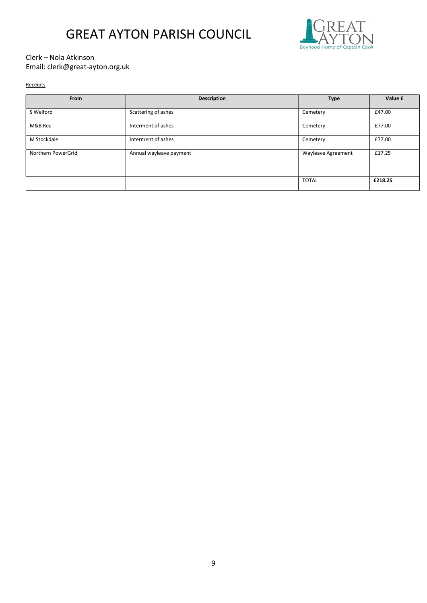

#### Clerk – Nola Atkinson Email: clerk@great-ayton.org.uk

#### Receipts

| From               | <b>Description</b>      | <b>Type</b>               | Value £ |
|--------------------|-------------------------|---------------------------|---------|
| S Welford          | Scattering of ashes     | Cemetery                  | £47.00  |
| M&B Rea            | Interment of ashes      | Cemetery                  | £77.00  |
| M Stockdale        | Interment of ashes      | Cemetery                  | £77.00  |
| Northern PowerGrid | Annual wayleave payment | <b>Wayleave Agreement</b> | £17.25  |
|                    |                         |                           |         |
|                    |                         | <b>TOTAL</b>              | £218.25 |